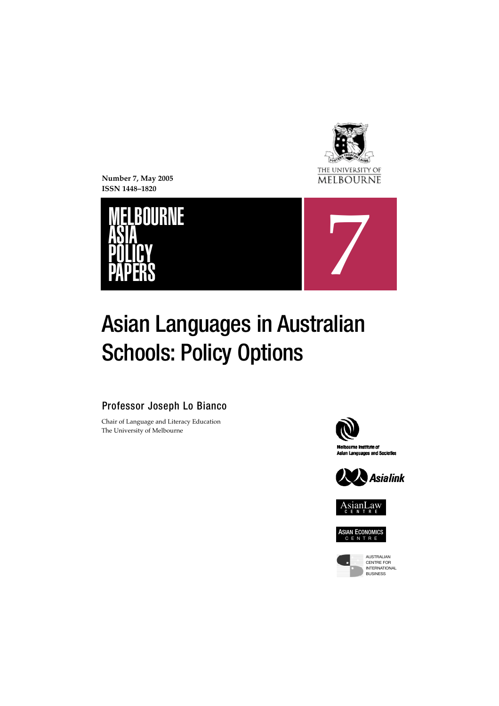

**Number 7, May 2005 ISSN 1448–1820**





# Asian Languages in Australian **Schools: Policy Options**

Professor Joseph Lo Bianco

Chair of Language and Literacy Education The University of Melbourne











AUSTRALIAN CENTRE FOR INTERNATIONAL **BUSINESS**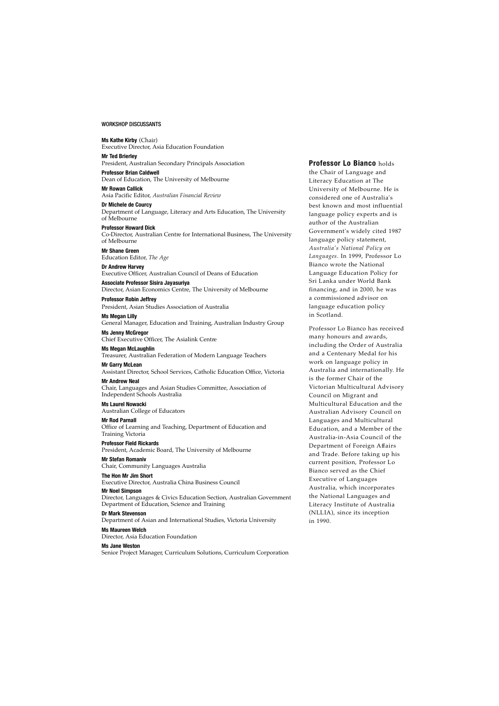#### WORKSHOP DISCUSSANTS

**Ms Kathe Kirby** (Chair) Executive Director, Asia Education Foundation **Mr Ted Brierley** President, Australian Secondary Principals Association **Professor Brian Caldwell** Dean of Education, The University of Melbourne **Mr Rowan Callick** Asia Pacific Editor, *Australian Financial Review* **Dr Michele de Courcy** Department of Language, Literacy and Arts Education, The University of Melbourne **Professor Howard Dick** Co-Director, Australian Centre for International Business, The University of Melbourne **Mr Shane Green** Education Editor, *The Age* **Dr Andrew Harvey** Executive Officer, Australian Council of Deans of Education **Associate Professor Sisira Jayasuriya** Director, Asian Economics Centre, The University of Melbourne **Professor Robin Jeffrey** President, Asian Studies Association of Australia **Ms Megan Lilly** General Manager, Education and Training, Australian Industry Group **Ms Jenny McGregor** Chief Executive Officer, The Asialink Centre **Ms Megan McLaughlin** Treasurer, Australian Federation of Modern Language Teachers **Mr Garry McLean** Assistant Director, School Services, Catholic Education Office, Victoria **Mr Andrew Neal** Chair, Languages and Asian Studies Committee, Association of Independent Schools Australia **Ms Laurel Nowacki** Australian College of Educators **Mr Rod Parnall** Office of Learning and Teaching, Department of Education and Training Victoria **Professor Field Rickards** President, Academic Board, The University of Melbourne **Mr Stefan Romaniv** Chair, Community Languages Australia

**The Hon Mr Jim Short**

Executive Director, Australia China Business Council

**Mr Noel Simpson**

Director, Languages & Civics Education Section, Australian Government Department of Education, Science and Training

**Dr Mark Stevenson**

Department of Asian and International Studies, Victoria University **Ms Maureen Welch**

Director, Asia Education Foundation

**Ms Jane Weston**

Senior Project Manager, Curriculum Solutions, Curriculum Corporation

**Professor Lo Bianco** holds the Chair of Language and Literacy Education at The University of Melbourne. He is considered one of Australia's best known and most influential language policy experts and is author of the Australian Government's widely cited 1987 language policy statement, *Australia's National Policy on* Languages. In 1999, Professor Lo Bianco wrote the National Language Education Policy for Sri Lanka under World Bank financing, and in 2000, he was a commissioned advisor on language education policy in Scotland.

Professor Lo Bianco has received many honours and awards, including the Order of Australia and a Centenary Medal for his work on language policy in Australia and internationally. He is the former Chair of the Victorian Multicultural Advisory Council on Migrant and Multicultural Education and the Australian Advisory Council on Languages and Multicultural Education, and a Member of the Australia-in-Asia Council of the Department of Foreign Affairs and Trade. Before taking up his current position, Professor Lo Bianco served as the Chief Executive of Languages Australia, which incorporates the National Languages and Literacy Institute of Australia (NLLIA), since its inception in 1990.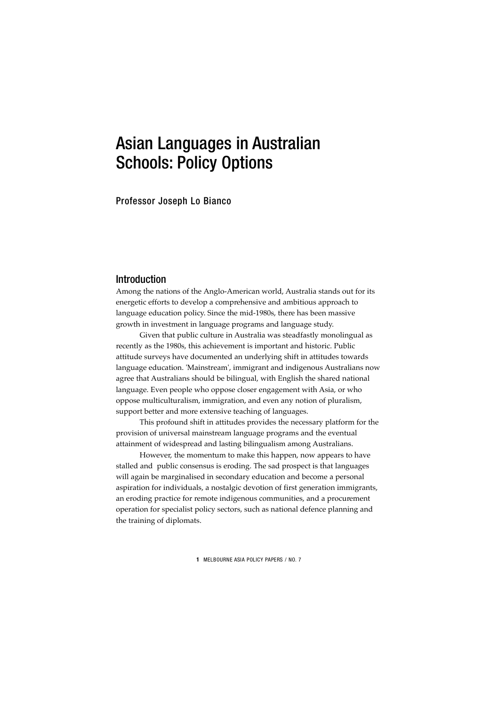# Asian Languages in Australian Schools: Policy Options

Professor Joseph Lo Bianco

# Introduction

Among the nations of the Anglo-American world, Australia stands out for its energetic efforts to develop a comprehensive and ambitious approach to language education policy. Since the mid-1980s, there has been massive growth in investment in language programs and language study.

Given that public culture in Australia was steadfastly monolingual as recently as the 1980s, this achievement is important and historic. Public attitude surveys have documented an underlying shift in attitudes towards language education. 'Mainstream', immigrant and indigenous Australians now agree that Australians should be bilingual, with English the shared national language. Even people who oppose closer engagement with Asia, or who oppose multiculturalism, immigration, and even any notion of pluralism, support better and more extensive teaching of languages.

This profound shift in attitudes provides the necessary platform for the provision of universal mainstream language programs and the eventual attainment of widespread and lasting bilingualism among Australians.

However, the momentum to make this happen, now appears to have stalled and public consensus is eroding. The sad prospect is that languages will again be marginalised in secondary education and become a personal aspiration for individuals, a nostalgic devotion of first generation immigrants, an eroding practice for remote indigenous communities, and a procurement operation for specialist policy sectors, such as national defence planning and the training of diplomats.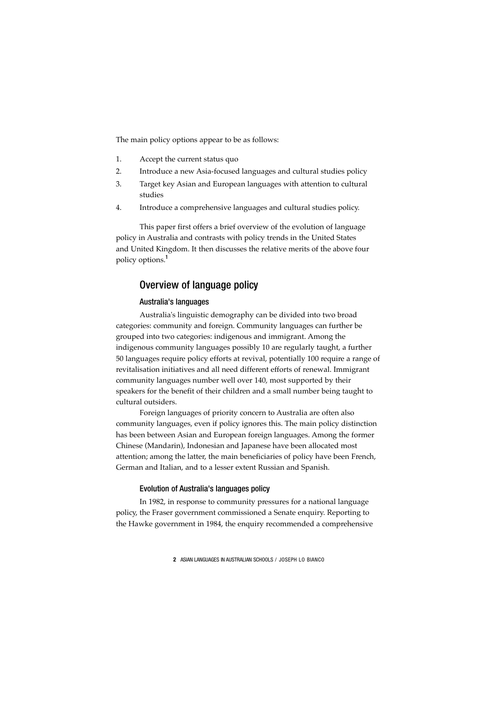The main policy options appear to be as follows:

- 1. Accept the current status quo
- 2. Introduce a new Asia-focused languages and cultural studies policy
- 3. Target key Asian and European languages with attention to cultural studies
- 4. Introduce a comprehensive languages and cultural studies policy.

This paper first offers a brief overview of the evolution of language policy in Australia and contrasts with policy trends in the United States and United Kingdom. It then discusses the relative merits of the above four policy options.<sup>1</sup>

# Overview of language policy

# Australia's languages

Australia's linguistic demography can be divided into two broad categories: community and foreign. Community languages can further be grouped into two categories: indigenous and immigrant. Among the indigenous community languages possibly 10 are regularly taught, a further 50 languages require policy efforts at revival, potentially 100 require a range of revitalisation initiatives and all need different efforts of renewal. Immigrant community languages number well over 140, most supported by their speakers for the benefit of their children and a small number being taught to cultural outsiders.

Foreign languages of priority concern to Australia are often also community languages, even if policy ignores this. The main policy distinction has been between Asian and European foreign languages. Among the former Chinese (Mandarin), Indonesian and Japanese have been allocated most attention; among the latter, the main beneficiaries of policy have been French, German and Italian, and to a lesser extent Russian and Spanish.

#### Evolution of Australia's languages policy

In 1982, in response to community pressures for a national language policy, the Fraser government commissioned a Senate enquiry. Reporting to the Hawke government in 1984, the enquiry recommended a comprehensive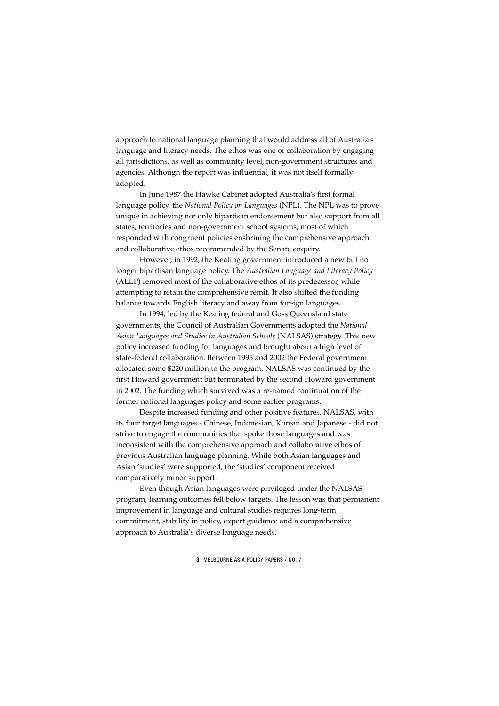approach to national language planning that would address all of Australia's language and literacy needs. The ethos was one of collaboration by engaging all jurisdictions, as well as community level, non-government structures and agencies. Although the report was influential, it was not itself formally adopted.

In June 1987 the Hawke Cabinet adopted Australia's first formal language policy, the *National Policy on Languages* (NPL). The NPL was to prove unique in achieving not only bipartisan endorsement but also support from all states, territories and non-government school systems, most of which responded with congruent policies enshrining the comprehensive approach and collaborative ethos recommended by the Senate enquiry.

However, in 1992, the Keating government introduced a new but no longer bipartisan language policy. The *Australian Language and Literacy Policy* (ALLP) removed most of the collaborative ethos of its predecessor, while attempting to retain the comprehensive remit. It also shifted the funding balance towards English literacy and away from foreign languages.

In 1994, led by the Keating federal and Goss Queensland state governments, the Council of Australian Governments adopted the *National Asian Languages and Studies in Australian Schools* (NALSAS) strategy. This new policy increased funding for languages and brought about a high level of state-federal collaboration. Between 1995 and 2002 the Federal government allocated some \$220 million to the program. NALSAS was continued by the first Howard government but terminated by the second Howard government in 2002. The funding which survived was a re-named continuation of the former national languages policy and some earlier programs.

Despite increased funding and other positive features, NALSAS, with its four target languages - Chinese, Indonesian, Korean and Japanese - did not strive to engage the communities that spoke those languages and was inconsistent with the comprehensive approach and collaborative ethos of previous Australian language planning. While both Asian languages and Asian 'studies' were supported, the 'studies' component received comparatively minor support.

Even though Asian languages were privileged under the NALSAS program, learning outcomes fell below targets. The lesson was that permanent improvement in language and cultural studies requires long-term commitment, stability in policy, expert guidance and a comprehensive approach to Australia's diverse language needs.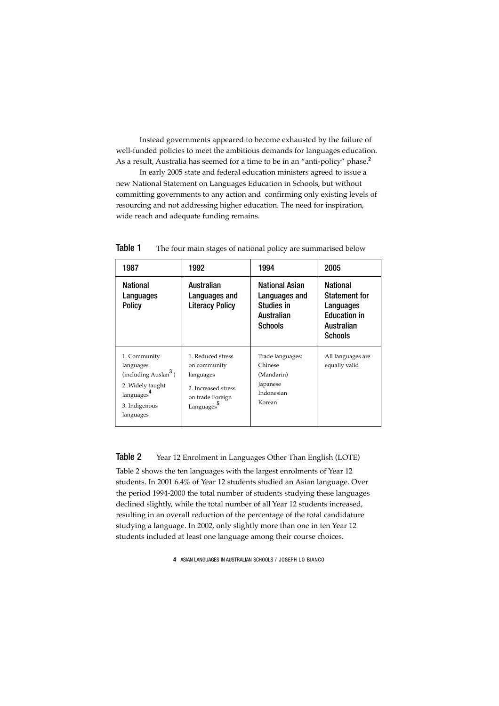Instead governments appeared to become exhausted by the failure of well-funded policies to meet the ambitious demands for languages education. As a result, Australia has seemed for a time to be in an "anti-policy" phase.<sup>2</sup>

In early 2005 state and federal education ministers agreed to issue a new National Statement on Languages Education in Schools, but without committing governments to any action and confirming only existing levels of resourcing and not addressing higher education. The need for inspiration, wide reach and adequate funding remains.

| 1987                                                                                                                                      | 1992                                                                                                                | 1994                                                                          | 2005                                                                                                        |  |
|-------------------------------------------------------------------------------------------------------------------------------------------|---------------------------------------------------------------------------------------------------------------------|-------------------------------------------------------------------------------|-------------------------------------------------------------------------------------------------------------|--|
| <b>National</b><br>Languages<br><b>Policy</b>                                                                                             | Australian<br>Languages and<br><b>Literacy Policy</b>                                                               | National Asian<br>Languages and<br>Studies in<br>Australian<br><b>Schools</b> | <b>National</b><br><b>Statement for</b><br>Languages<br><b>Education in</b><br>Australian<br><b>Schools</b> |  |
| 1. Community<br>languages<br>(including Auslan <sup>3</sup> )<br>2. Widely taught<br>languages <sup>4</sup><br>3. Indigenous<br>languages | 1. Reduced stress<br>on community<br>languages<br>2. Increased stress<br>on trade Foreign<br>Languages <sup>5</sup> | Trade languages:<br>Chinese<br>(Mandarin)<br>Japanese<br>Indonesian<br>Korean | All languages are<br>equally valid                                                                          |  |

**Table 1** The four main stages of national policy are summarised below

Table 2 Year 12 Enrolment in Languages Other Than English (LOTE)

Table 2 shows the ten languages with the largest enrolments of Year 12 students. In 2001 6.4% of Year 12 students studied an Asian language. Over the period 1994-2000 the total number of students studying these languages declined slightly, while the total number of all Year 12 students increased, resulting in an overall reduction of the percentage of the total candidature studying a language. In 2002, only slightly more than one in ten Year 12 students included at least one language among their course choices.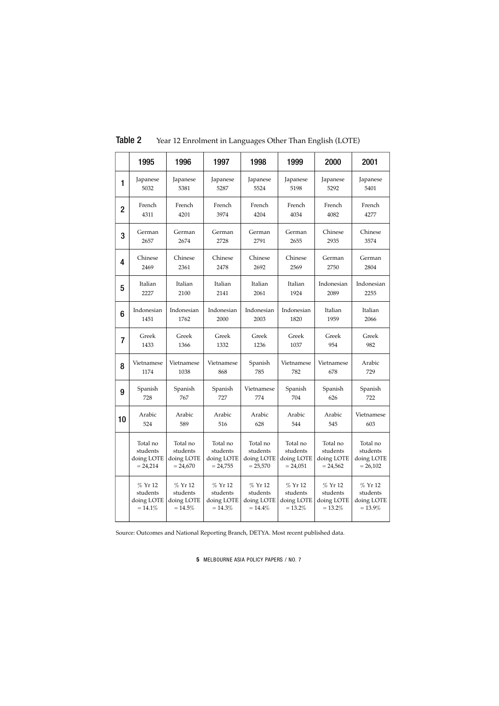| lable 2<br>Year 12 Enrolment in Languages Other Than English (LOTE) |            |            |            |            |            |            |            |  |  |
|---------------------------------------------------------------------|------------|------------|------------|------------|------------|------------|------------|--|--|
|                                                                     | 1995       | 1996       | 1997       | 1998       | 1999       | 2000       | 2001       |  |  |
| 1                                                                   | Japanese   | Japanese   | Japanese   | Japanese   | Japanese   | Japanese   | Japanese   |  |  |
|                                                                     | 5032       | 5381       | 5287       | 5524       | 5198       | 5292       | 5401       |  |  |
| $\overline{2}$                                                      | French     | French     | French     | French     | French     | French     | French     |  |  |
|                                                                     | 4311       | 4201       | 3974       | 4204       | 4034       | 4082       | 4277       |  |  |
| 3                                                                   | German     | German     | German     | German     | German     | Chinese    | Chinese    |  |  |
|                                                                     | 2657       | 2674       | 2728       | 2791       | 2655       | 2935       | 3574       |  |  |
| 4                                                                   | Chinese    | Chinese    | Chinese    | Chinese    | Chinese    | German     | German     |  |  |
|                                                                     | 2469       | 2361       | 2478       | 2692       | 2569       | 2750       | 2804       |  |  |
| 5                                                                   | Italian    | Italian    | Italian    | Italian    | Italian    | Indonesian | Indonesian |  |  |
|                                                                     | 2227       | 2100       | 2141       | 2061       | 1924       | 2089       | 2255       |  |  |
| 6                                                                   | Indonesian | Indonesian | Indonesian | Indonesian | Indonesian | Italian    | Italian    |  |  |
|                                                                     | 1451       | 1762       | 2000       | 2003       | 1820       | 1959       | 2066       |  |  |
| $\overline{7}$                                                      | Greek      | Greek      | Greek      | Greek      | Greek      | Greek      | Greek      |  |  |
|                                                                     | 1433       | 1366       | 1332       | 1236       | 1037       | 954        | 982        |  |  |
| 8                                                                   | Vietnamese | Vietnamese | Vietnamese | Spanish    | Vietnamese | Vietnamese | Arabic     |  |  |
|                                                                     | 1174       | 1038       | 868        | 785        | 782        | 678        | 729        |  |  |
| 9                                                                   | Spanish    | Spanish    | Spanish    | Vietnamese | Spanish    | Spanish    | Spanish    |  |  |
|                                                                     | 728        | 767        | 727        | 774        | 704        | 626        | 722        |  |  |
| 10                                                                  | Arabic     | Arabic     | Arabic     | Arabic     | Arabic     | Arabic     | Vietnamese |  |  |
|                                                                     | 524        | 589        | 516        | 628        | 544        | 545        | 603        |  |  |
|                                                                     | Total no   | Total no   | Total no   | Total no   | Total no   | Total no   | Total no   |  |  |
|                                                                     | students   | students   | students   | students   | students   | students   | students   |  |  |
|                                                                     | doing LOTE | doing LOTE | doing LOTE | doing LOTE | doing LOTE | doing LOTE | doing LOTE |  |  |
|                                                                     | $= 24,214$ | $= 24,670$ | $= 24,755$ | $= 25,570$ | $= 24,051$ | $= 24,562$ | $= 26,102$ |  |  |
|                                                                     | % Yr 12    | $%$ Yr 12  | % Yr 12    | % Yr 12    | % Yr 12    | % Yr 12    | $%$ Yr 12  |  |  |
|                                                                     | students   | students   | students   | students   | students   | students   | students   |  |  |
|                                                                     | doing LOTE | doing LOTE | doing LOTE | doing LOTE | doing LOTE | doing LOTE | doing LOTE |  |  |
|                                                                     | $= 14.1%$  | $=14.5%$   | $= 14.3%$  | $=14.4%$   | $= 13.2%$  | $= 13.2%$  | $=13.9%$   |  |  |

Table 2 Year 12 Enrolment in Languages Other Than English (LOTE)

Source: Outcomes and National Reporting Branch, DETYA. Most recent published data.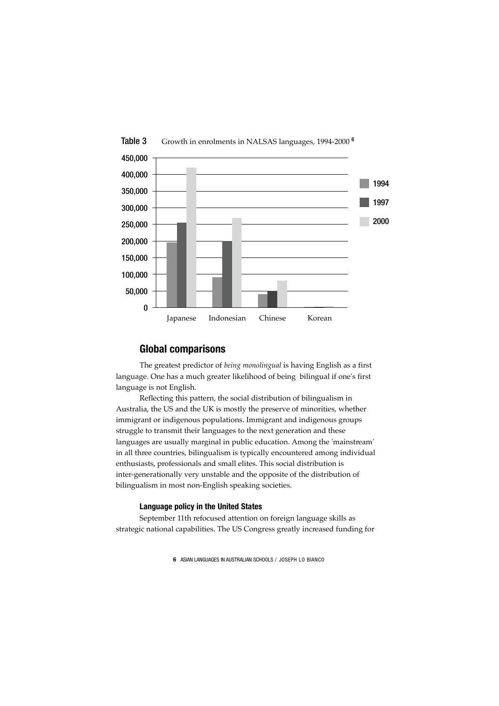

# Table 3 Growth in enrolments in NALSAS languages, 1994-2000<sup>6</sup>

# **Global comparisons**

The greatest predictor of *being monolingual* is having English as a first language. One has a much greater likelihood of being bilingual if one's first language is not English.

Reflecting this pattern, the social distribution of bilingualism in Australia, the US and the UK is mostly the preserve of minorities, whether immigrant or indigenous populations. Immigrant and indigenous groups struggle to transmit their languages to the next generation and these languages are usually marginal in public education. Among the 'mainstream' in all three countries, bilingualism is typically encountered among individual enthusiasts, professionals and small elites. This social distribution is inter-generationally very unstable and the opposite of the distribution of bilingualism in most non-English speaking societies.

#### **Language policy in the United States**

September 11th refocused attention on foreign language skills as strategic national capabilities. The US Congress greatly increased funding for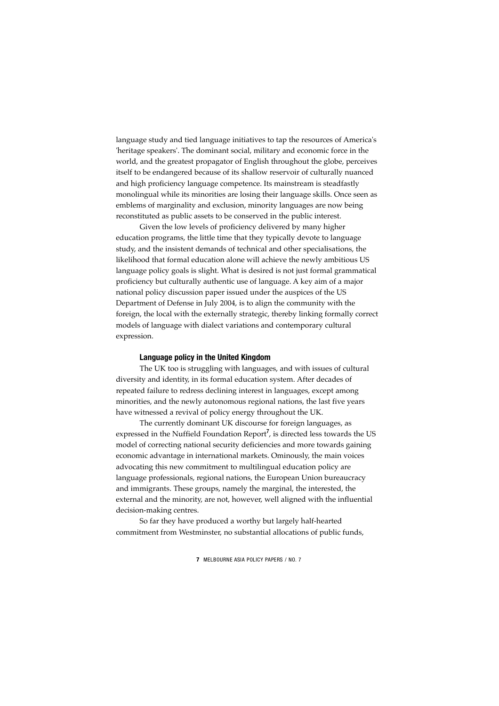language study and tied language initiatives to tap the resources of America's 'heritage speakers'. The dominant social, military and economic force in the world, and the greatest propagator of English throughout the globe, perceives itself to be endangered because of its shallow reservoir of culturally nuanced and high proficiency language competence. Its mainstream is steadfastly monolingual while its minorities are losing their language skills. Once seen as emblems of marginality and exclusion, minority languages are now being reconstituted as public assets to be conserved in the public interest.

Given the low levels of proficiency delivered by many higher education programs, the little time that they typically devote to language study, and the insistent demands of technical and other specialisations, the likelihood that formal education alone will achieve the newly ambitious US language policy goals is slight. What is desired is not just formal grammatical proficiency but culturally authentic use of language. A key aim of a major national policy discussion paper issued under the auspices of the US Department of Defense in July 2004, is to align the community with the foreign, the local with the externally strategic, thereby linking formally correct models of language with dialect variations and contemporary cultural expression.

#### **Language policy in the United Kingdom**

The UK too is struggling with languages, and with issues of cultural diversity and identity, in its formal education system. After decades of repeated failure to redress declining interest in languages, except among minorities, and the newly autonomous regional nations, the last five years have witnessed a revival of policy energy throughout the UK.

The currently dominant UK discourse for foreign languages, as expressed in the Nuffield Foundation Report<sup>7</sup>, is directed less towards the US model of correcting national security deficiencies and more towards gaining economic advantage in international markets. Ominously, the main voices advocating this new commitment to multilingual education policy are language professionals, regional nations, the European Union bureaucracy and immigrants. These groups, namely the marginal, the interested, the external and the minority, are not, however, well aligned with the influential decision-making centres.

So far they have produced a worthy but largely half-hearted commitment from Westminster, no substantial allocations of public funds,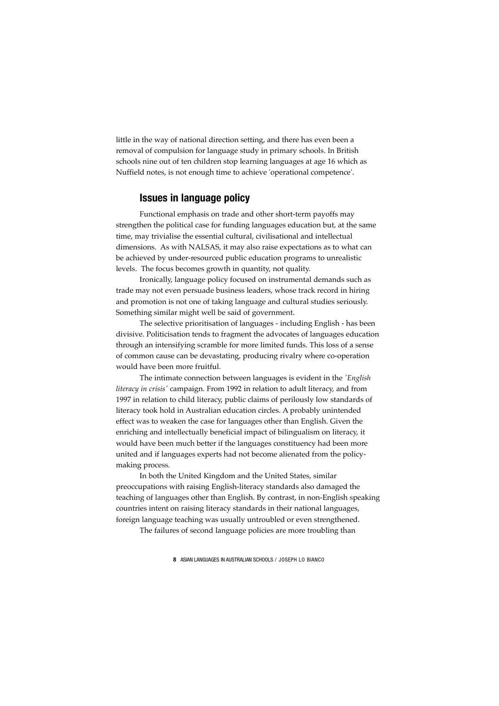little in the way of national direction setting, and there has even been a removal of compulsion for language study in primary schools. In British schools nine out of ten children stop learning languages at age 16 which as Nuffield notes, is not enough time to achieve 'operational competence'.

# **Issues in language policy**

Functional emphasis on trade and other short-term payoffs may strengthen the political case for funding languages education but, at the same time, may trivialise the essential cultural, civilisational and intellectual dimensions. As with NALSAS, it may also raise expectations as to what can be achieved by under-resourced public education programs to unrealistic levels. The focus becomes growth in quantity, not quality.

Ironically, language policy focused on instrumental demands such as trade may not even persuade business leaders, whose track record in hiring and promotion is not one of taking language and cultural studies seriously. Something similar might well be said of government.

The selective prioritisation of languages - including English - has been divisive. Politicisation tends to fragment the advocates of languages education through an intensifying scramble for more limited funds. This loss of a sense of common cause can be devastating, producing rivalry where co-operation would have been more fruitful.

The intimate connection between languages is evident in the *'English literacy in crisis'* campaign. From 1992 in relation to adult literacy, and from 1997 in relation to child literacy, public claims of perilously low standards of literacy took hold in Australian education circles. A probably unintended effect was to weaken the case for languages other than English. Given the enriching and intellectually beneficial impact of bilingualism on literacy, it would have been much better if the languages constituency had been more united and if languages experts had not become alienated from the policymaking process.

In both the United Kingdom and the United States, similar preoccupations with raising English-literacy standards also damaged the teaching of languages other than English. By contrast, in non-English speaking countries intent on raising literacy standards in their national languages, foreign language teaching was usually untroubled or even strengthened.

The failures of second language policies are more troubling than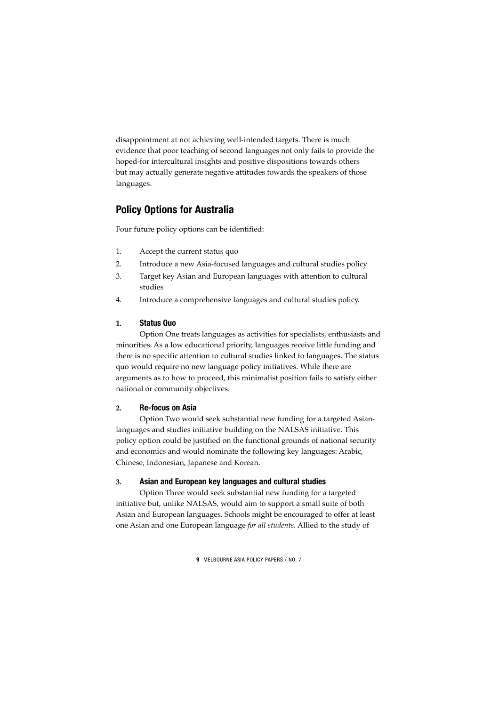disappointment at not achieving well-intended targets. There is much evidence that poor teaching of second languages not only fails to provide the hoped-for intercultural insights and positive dispositions towards others but may actually generate negative attitudes towards the speakers of those languages.

# **Policy Options for Australia**

Four future policy options can be identified:

- 1. Accept the current status quo
- 2. Introduce a new Asia-focused languages and cultural studies policy
- 3. Target key Asian and European languages with attention to cultural studies
- 4. Introduce a comprehensive languages and cultural studies policy.

#### **1. Status Quo**

Option One treats languages as activities for specialists, enthusiasts and minorities. As a low educational priority, languages receive little funding and there is no specific attention to cultural studies linked to languages. The status quo would require no new language policy initiatives. While there are arguments as to how to proceed, this minimalist position fails to satisfy either national or community objectives.

### **2. Re-focus on Asia**

Option Two would seek substantial new funding for a targeted Asianlanguages and studies initiative building on the NALSAS initiative. This policy option could be justified on the functional grounds of national security and economics and would nominate the following key languages: Arabic, Chinese, Indonesian, Japanese and Korean.

#### **3. Asian and European key languages and cultural studies**

Option Three would seek substantial new funding for a targeted initiative but, unlike NALSAS, would aim to support a small suite of both Asian and European languages. Schools might be encouraged to offer at least one Asian and one European language *for all students*. Allied to the study of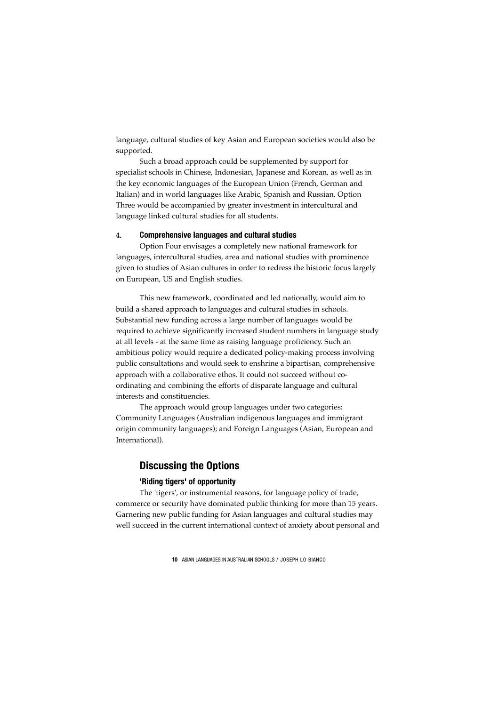language, cultural studies of key Asian and European societies would also be supported.

Such a broad approach could be supplemented by support for specialist schools in Chinese, Indonesian, Japanese and Korean, as well as in the key economic languages of the European Union (French, German and Italian) and in world languages like Arabic, Spanish and Russian. Option Three would be accompanied by greater investment in intercultural and language linked cultural studies for all students.

#### **4. Comprehensive languages and cultural studies**

Option Four envisages a completely new national framework for languages, intercultural studies, area and national studies with prominence given to studies of Asian cultures in order to redress the historic focus largely on European, US and English studies.

This new framework, coordinated and led nationally, would aim to build a shared approach to languages and cultural studies in schools. Substantial new funding across a large number of languages would be required to achieve significantly increased student numbers in language study at all levels - at the same time as raising language proficiency. Such an ambitious policy would require a dedicated policy-making process involving public consultations and would seek to enshrine a bipartisan, comprehensive approach with a collaborative ethos. It could not succeed without coordinating and combining the efforts of disparate language and cultural interests and constituencies.

The approach would group languages under two categories: Community Languages (Australian indigenous languages and immigrant origin community languages); and Foreign Languages (Asian, European and International).

# **Discussing the Options**

# **'Riding tigers' of opportunity**

The 'tigers', or instrumental reasons, for language policy of trade, commerce or security have dominated public thinking for more than 15 years. Garnering new public funding for Asian languages and cultural studies may well succeed in the current international context of anxiety about personal and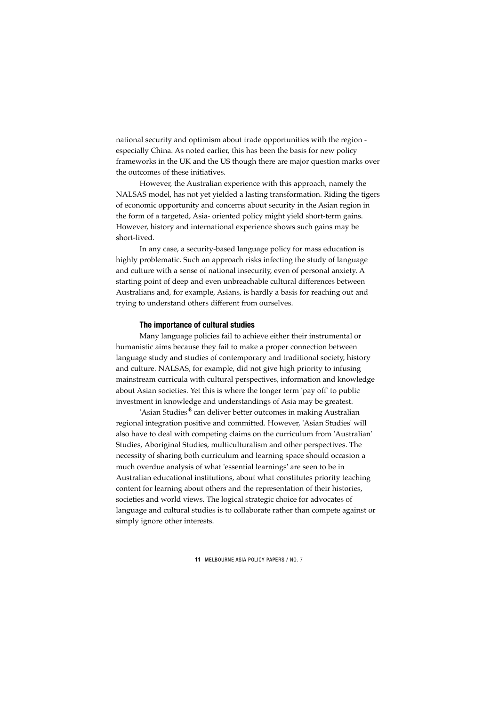national security and optimism about trade opportunities with the region especially China. As noted earlier, this has been the basis for new policy frameworks in the UK and the US though there are major question marks over the outcomes of these initiatives.

However, the Australian experience with this approach, namely the NALSAS model, has not yet yielded a lasting transformation. Riding the tigers of economic opportunity and concerns about security in the Asian region in the form of a targeted, Asia- oriented policy might yield short-term gains. However, history and international experience shows such gains may be short-lived.

In any case, a security-based language policy for mass education is highly problematic. Such an approach risks infecting the study of language and culture with a sense of national insecurity, even of personal anxiety. A starting point of deep and even unbreachable cultural differences between Australians and, for example, Asians, is hardly a basis for reaching out and trying to understand others different from ourselves.

#### **The importance of cultural studies**

Many language policies fail to achieve either their instrumental or humanistic aims because they fail to make a proper connection between language study and studies of contemporary and traditional society, history and culture. NALSAS, for example, did not give high priority to infusing mainstream curricula with cultural perspectives, information and knowledge about Asian societies. Yet this is where the longer term 'pay off' to public investment in knowledge and understandings of Asia may be greatest.

'Asian Studies'<sup>8</sup> can deliver better outcomes in making Australian regional integration positive and committed. However, 'Asian Studies' will also have to deal with competing claims on the curriculum from 'Australian' Studies, Aboriginal Studies, multiculturalism and other perspectives. The necessity of sharing both curriculum and learning space should occasion a much overdue analysis of what 'essential learnings' are seen to be in Australian educational institutions, about what constitutes priority teaching content for learning about others and the representation of their histories, societies and world views. The logical strategic choice for advocates of language and cultural studies is to collaborate rather than compete against or simply ignore other interests.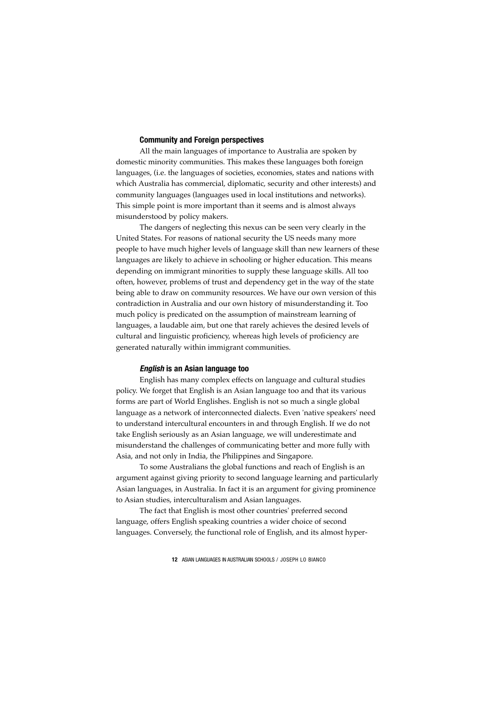# **Community and Foreign perspectives**

All the main languages of importance to Australia are spoken by domestic minority communities. This makes these languages both foreign languages, (i.e. the languages of societies, economies, states and nations with which Australia has commercial, diplomatic, security and other interests) and community languages (languages used in local institutions and networks). This simple point is more important than it seems and is almost always misunderstood by policy makers.

The dangers of neglecting this nexus can be seen very clearly in the United States. For reasons of national security the US needs many more people to have much higher levels of language skill than new learners of these languages are likely to achieve in schooling or higher education. This means depending on immigrant minorities to supply these language skills. All too often, however, problems of trust and dependency get in the way of the state being able to draw on community resources. We have our own version of this contradiction in Australia and our own history of misunderstanding it. Too much policy is predicated on the assumption of mainstream learning of languages, a laudable aim, but one that rarely achieves the desired levels of cultural and linguistic proficiency, whereas high levels of proficiency are generated naturally within immigrant communities.

#### *English* **is an Asian language too**

English has many complex effects on language and cultural studies policy. We forget that English is an Asian language too and that its various forms are part of World Englishes. English is not so much a single global language as a network of interconnected dialects. Even 'native speakers' need to understand intercultural encounters in and through English. If we do not take English seriously as an Asian language, we will underestimate and misunderstand the challenges of communicating better and more fully with Asia, and not only in India, the Philippines and Singapore.

To some Australians the global functions and reach of English is an argument against giving priority to second language learning and particularly Asian languages, in Australia. In fact it is an argument for giving prominence to Asian studies, interculturalism and Asian languages.

The fact that English is most other countries' preferred second language, offers English speaking countries a wider choice of second languages. Conversely, the functional role of English, and its almost hyper-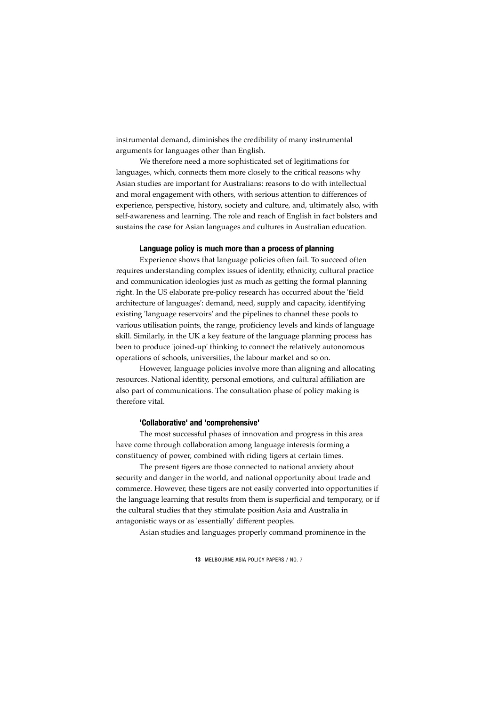instrumental demand, diminishes the credibility of many instrumental arguments for languages other than English.

We therefore need a more sophisticated set of legitimations for languages, which, connects them more closely to the critical reasons why Asian studies are important for Australians: reasons to do with intellectual and moral engagement with others, with serious attention to differences of experience, perspective, history, society and culture, and, ultimately also, with self-awareness and learning. The role and reach of English in fact bolsters and sustains the case for Asian languages and cultures in Australian education.

#### **Language policy is much more than a process of planning**

Experience shows that language policies often fail. To succeed often requires understanding complex issues of identity, ethnicity, cultural practice and communication ideologies just as much as getting the formal planning right. In the US elaborate pre-policy research has occurred about the 'field architecture of languages': demand, need, supply and capacity, identifying existing 'language reservoirs' and the pipelines to channel these pools to various utilisation points, the range, proficiency levels and kinds of language skill. Similarly, in the UK a key feature of the language planning process has been to produce 'joined-up' thinking to connect the relatively autonomous operations of schools, universities, the labour market and so on.

However, language policies involve more than aligning and allocating resources. National identity, personal emotions, and cultural affiliation are also part of communications. The consultation phase of policy making is therefore vital.

#### **'Collaborative' and 'comprehensive'**

The most successful phases of innovation and progress in this area have come through collaboration among language interests forming a constituency of power, combined with riding tigers at certain times.

The present tigers are those connected to national anxiety about security and danger in the world, and national opportunity about trade and commerce. However, these tigers are not easily converted into opportunities if the language learning that results from them is superficial and temporary, or if the cultural studies that they stimulate position Asia and Australia in antagonistic ways or as 'essentially' different peoples.

Asian studies and languages properly command prominence in the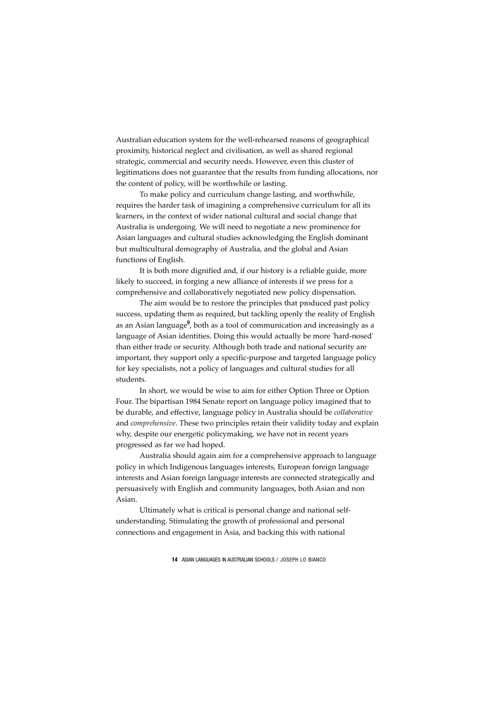Australian education system for the well-rehearsed reasons of geographical proximity, historical neglect and civilisation, as well as shared regional strategic, commercial and security needs. However, even this cluster of legitimations does not guarantee that the results from funding allocations, nor the content of policy, will be worthwhile or lasting.

To make policy and curriculum change lasting, and worthwhile, requires the harder task of imagining a comprehensive curriculum for all its learners, in the context of wider national cultural and social change that Australia is undergoing. We will need to negotiate a new prominence for Asian languages and cultural studies acknowledging the English dominant but multicultural demography of Australia, and the global and Asian functions of English.

It is both more dignified and, if our history is a reliable guide, more likely to succeed, in forging a new alliance of interests if we press for a comprehensive and collaboratively negotiated new policy dispensation.

The aim would be to restore the principles that produced past policy success, updating them as required, but tackling openly the reality of English as an Asian language<sup>9</sup>, both as a tool of communication and increasingly as a language of Asian identities. Doing this would actually be more 'hard-nosed' than either trade or security. Although both trade and national security are important, they support only a specific-purpose and targeted language policy for key specialists, not a policy of languages and cultural studies for all students.

In short, we would be wise to aim for either Option Three or Option Four. The bipartisan 1984 Senate report on language policy imagined that to be durable, and effective, language policy in Australia should be *collaborative* and *comprehensive*. These two principles retain their validity today and explain why, despite our energetic policymaking, we have not in recent years progressed as far we had hoped.

Australia should again aim for a comprehensive approach to language policy in which Indigenous languages interests, European foreign language interests and Asian foreign language interests are connected strategically and persuasively with English and community languages, both Asian and non Asian.

Ultimately what is critical is personal change and national selfunderstanding. Stimulating the growth of professional and personal connections and engagement in Asia, and backing this with national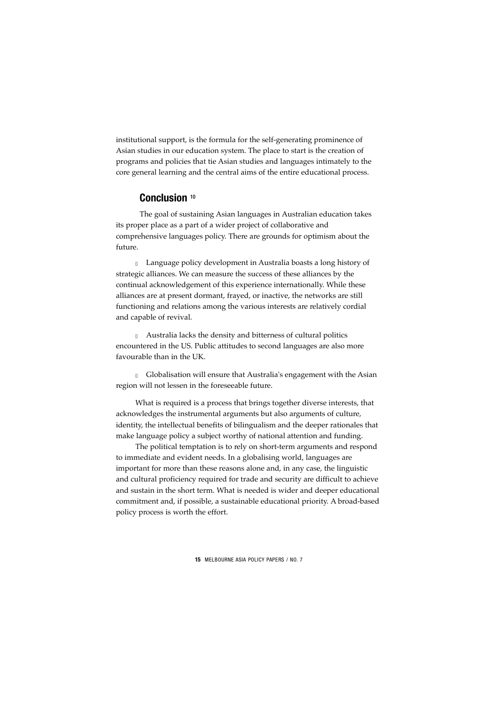institutional support, is the formula for the self-generating prominence of Asian studies in our education system. The place to start is the creation of programs and policies that tie Asian studies and languages intimately to the core general learning and the central aims of the entire educational process.

# **Conclusion** <sup>10</sup>

The goal of sustaining Asian languages in Australian education takes its proper place as a part of a wider project of collaborative and comprehensive languages policy. There are grounds for optimism about the future.

• Language policy development in Australia boasts a long history of strategic alliances. We can measure the success of these alliances by the continual acknowledgement of this experience internationally. While these alliances are at present dormant, frayed, or inactive, the networks are still functioning and relations among the various interests are relatively cordial and capable of revival.

• Australia lacks the density and bitterness of cultural politics encountered in the US. Public attitudes to second languages are also more favourable than in the UK.

• Globalisation will ensure that Australia's engagement with the Asian region will not lessen in the foreseeable future.

What is required is a process that brings together diverse interests, that acknowledges the instrumental arguments but also arguments of culture, identity, the intellectual benefits of bilingualism and the deeper rationales that make language policy a subject worthy of national attention and funding.

The political temptation is to rely on short-term arguments and respond to immediate and evident needs. In a globalising world, languages are important for more than these reasons alone and, in any case, the linguistic and cultural proficiency required for trade and security are difficult to achieve and sustain in the short term. What is needed is wider and deeper educational commitment and, if possible, a sustainable educational priority. A broad-based policy process is worth the effort.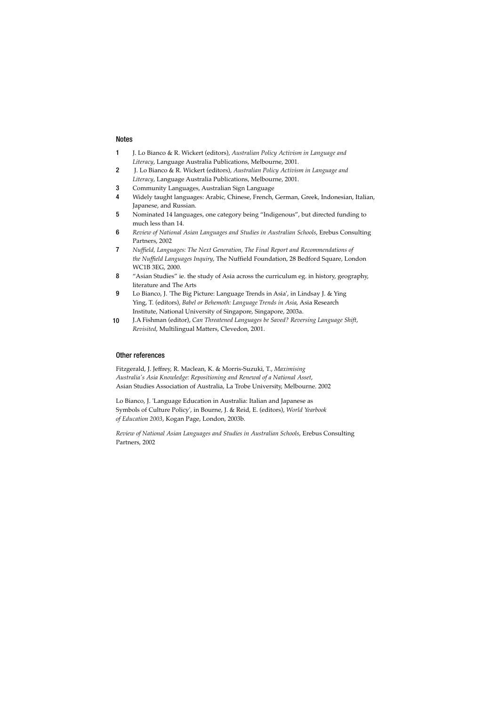#### Notes

- 1 J. Lo Bianco & R. Wickert (editors), *Australian Policy Activism in Language and Literacy*, Language Australia Publications, Melbourne, 2001.
- 2 J. Lo Bianco & R. Wickert (editors), *Australian Policy Activism in Language and Literacy*, Language Australia Publications, Melbourne, 2001.
- 3 Community Languages, Australian Sign Language
- 4 Widely taught languages: Arabic, Chinese, French, German, Greek, Indonesian, Italian, Japanese, and Russian.
- 5 Nominated 14 languages, one category being "Indigenous", but directed funding to much less than 14.
- 6 *Review of National Asian Languages and Studies in Australian Schools*, Erebus Consulting Partners, 2002
- 7 *Nuffield, Languages: The Next Generation, The Final Report and Recommendations of the Nuffield Languages Inquiry*, The Nuffield Foundation, 28 Bedford Square, London WC1B 3EG, 2000.
- 8 "Asian Studies" ie. the study of Asia across the curriculum eg. in history, geography, literature and The Arts
- 9 Lo Bianco, J. 'The Big Picture: Language Trends in Asia', in Lindsay J. & Ying Ying, T. (editors), *Babel or Behemoth: Language Trends in Asia*, Asia Research Institute, National University of Singapore, Singapore, 2003a.
- J.A Fishman (editor), *Can Threatened Languages be Saved? Reversing Language Shift*, *Revisited*, Multilingual Matters, Clevedon, 2001. 10

#### Other references

Fitzgerald, J. Jeffrey, R. Maclean, K. & Morris-Suzuki, T., *Maximising Australia's Asia Knowledge: Repositioning and Renewal of a National Asset*, Asian Studies Association of Australia, La Trobe University, Melbourne. 2002

Lo Bianco, J. 'Language Education in Australia: Italian and Japanese as Symbols of Culture Policy', in Bourne, J. & Reid, E. (editors), *World Yearbook of Education 2003*, Kogan Page, London, 2003b.

*Review of National Asian Languages and Studies in Australian Schools*, Erebus Consulting Partners, 2002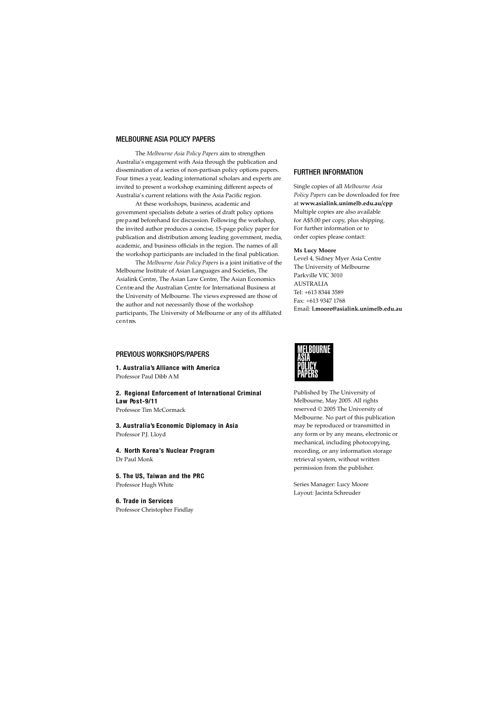#### MELBOURNE ASIA POLICY PAPERS

The *Melbourne Asia Policy Papers* aim to strengthen Australia's engagement with Asia through the publication and dissemination of a series of non-partisan policy options papers. Four times a year, leading international scholars and experts are invited to present a workshop examining different aspects of Australia's current relations with the Asia Pacific region.

At these workshops, business, academic and government specialists debate a series of draft policy options pre p a red beforehand for discussion. Following the workshop, the invited author produces a concise, 15-page policy paper for publication and distribution among leading government, media, academic, and business officials in the region. The names of all the workshop participants are included in the final publication.

The *Melbourne Asia Policy Papers* is a joint initiative of the Melbourne Institute of Asian Languages and Societies, The Asialink Centre, The Asian Law Centre, The Asian Economics Centre and the Australian Centre for International Business at the University of Melbourne. The views expressed are those of the author and not necessarily those of the workshop participants, The University of Melbourne or any of its affiliated c e n t res.

#### PREVIOUS WORKSHOPS/PAPERS

**1 . A u s t r a l i a 's Alliance with America** Professor Paul Dibb AM

**2 . Regional Enforcement of International Criminal L aw Po s t-9 / 1 1**

Professor Tim McCormack

**3 . A u s t r a l i a 's Economic Diplomacy in Asia** Professor P.J. Lloyd

**4 . North Korea's Nuclear Program** Dr Paul Monk

**5 . The US, Taiwan and the PRC** Professor Hugh White

**6 . Trade in Serv i c e s** Professor Christopher Findlay

#### FURTHER INFORMATION

Single copies of all *Melbourne Asia Policy Papers* can be downloaded for free at **www.asialink.unimelb.edu.au/cpp** Multiple copies are also available for A\$5.00 per copy, plus shipping. For further information or to order copies please contact:

#### **Ms Lucy Moore**

Level 4, Sidney Myer Asia Centre The University of Melbourne Parkville VIC 3010 AUSTRALIA Tel: +613 8344 3589 Fax: +613 9347 1768 Email: **l.moore@asialink.unimelb.edu.au**



Published by The University of Melbourne, May 2005. All rights reserved © 2005 The University of Melbourne. No part of this publication may be reproduced or transmitted in any form or by any means, electronic or mechanical, including photocopying, recording, or any information storage retrieval system, without written permission from the publisher.

Series Manager: Lucy Moore Layout: Jacinta Schreuder